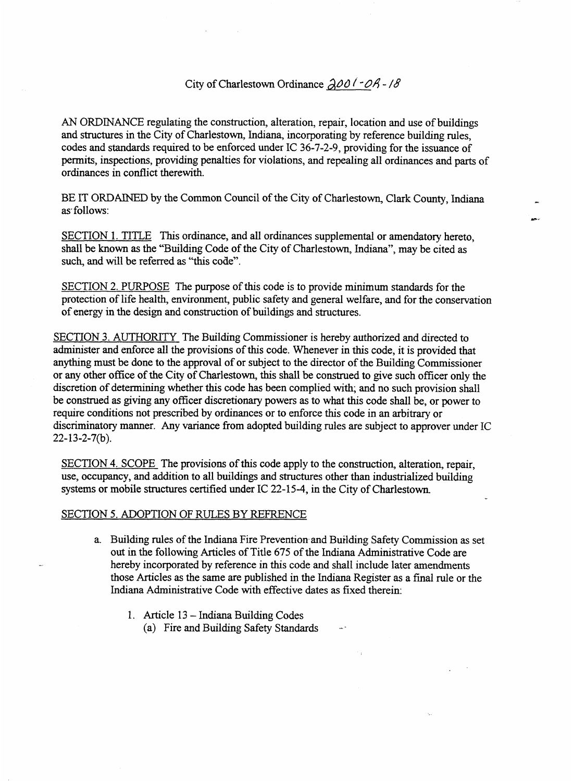## City of Charlestown Ordinance  $\partial \mathcal{O} \mathcal{O} \mathcal{I} - \partial \mathcal{A} - \mathcal{B}$

*AN* ORDINANCE regulating the construction, alteration, repair, location and use of buildings and structures in the City of Charlestown, Indiana, incorporating by reference building rules, codes and standards required to be enforced under IC 36-7-2-9, providing for the issuance **of**  permits, inspections, providing penalties for violations, and repealing all ordinances and parts of ordinances in conflict therewith.

BE IT ORDAINED by the Common Council of the City of Charlestown, Clark County, Indiana **as.** follows:

SECTION 1. TITLE This ordinance, and all ordinances supplemental or amendatory hereto, shall be known **as** the "Building Code of the City of Charlestown, Indiana", may be cited as such, and will be referred **as** "this code".

SECTION 2. PURPOSE The purpose of **this** code is to provide minimum standards for the protection of life health, environment, public safety and general welfare, and for the conservation of energy in the design and construction of buildings and structures.

SECTION 3. AUTHORITY The Building Commissioner is hereby authorized and directed to administer and enforce all the provisions of this code. Whenever in this code, it is provided that anything must be done to the approval of or subject to the director of the Building Commissioner or any other office of the City of Charlestown, this shall be construed to give such officer only the discretion of determining whether this code **has** been complied with; and no such provision shall be construed **as** giving any officer discretionary powers **as** to what this code shall be, or power to require conditions not prescribed by ordinances or to enforce this code in an arbitrary or discriminatory manner. Any variance from adopted building rules are subject to approver under IC  $22 - 13 - 2 - 7(b)$ .

SECTION **4.** SCOPE The provisions **of** this code apply to the construction, alteration, repair, use, occupancy, and addition to all buildings and structures other than industrialized building systems or mobile structures certified under IC 22-15-4, in the City of Charlestown

## SECTION *5.* ADOPTION OF RULES BY REFRENCE

- a. Building rules of the Indiana Fire Prevention and Building Safety Commission as set **out** in the following Articles of Title 675 of the Indiana Administrative Code are hereby incorporated by reference in this code and shall include later amendments those Articles **as** the same are published in the Indlana Register as a final rule or the Indiana Administrative Code with effective dates as fixed therein:
	- 1. Article  $13$  Indiana Building Codes
		- (a) Fire and Building Safety Standards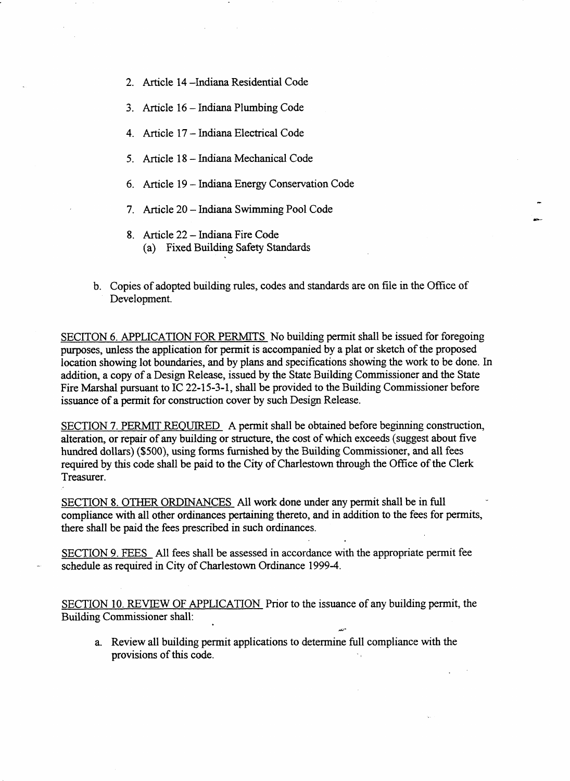- 2. Article 14 -Indiana Residential Code
- 3. Article 16 Indiana Plumbing Code
- 4. Article **17** Indiana Electrical Code
- 5. Article 18 Indiana Mechanical Code
- 6. Article 19 Indiana Energy Conservation Code
- 7. Article 20 Indiana Swimming Pool Code
- **8.** Article **22** Indiana Fire Code (a) Fixed Building Safety Standards
- b. Copies of adopted building rules, codes and standards are on file in the Office of Development.

SECITON 6. APPLICATION FOR PERMITS No building permit shall be issued for foregoing purposes, unless the application for permit is accompanied by a plat or sketch of the proposed location showing lot boundaries, and by plans and specifications showing the work to be done. In addition, a copy of a Design Release, issued by the State Building Commissioner and the State Fire Marshal pursuant to IC 22-15-3-1, shall be provided to the Building Commissioner before issuance of a permit for construction cover by such Design Release.

SECTION **7.** PERMIT REQUIRED **A** permit shall be obtained before beginning construction, alteration, or repair of any building or structure, the cost of which exceeds (suggest about five hundred dollars) (\$500), using forms furnished by the Building Commissioner, **and** all fees required by this code shall be paid to the City of Charlestown through the Office of the Clerk Treasurer.

SECTION **8.** OTHER ORDINANCES All **work** done under any permit shall be in full compliance with all other ordinances pertaining thereto, and in addition to the fees for permits, there shall be paid the fees prescribed in such ordinances.

SECTION 9. FEES All fees shall be assessed in accordance with the appropriate permit fee schedule **as** required in City of Charlestown Ordinance 1999-4.

SECTION 10. REVIEW OF APPLICATION Prior to the issuance of any building permit, the Building Commissioner shall:

a. Review all building permit applications to determine full compliance with the provisions **of** ths code.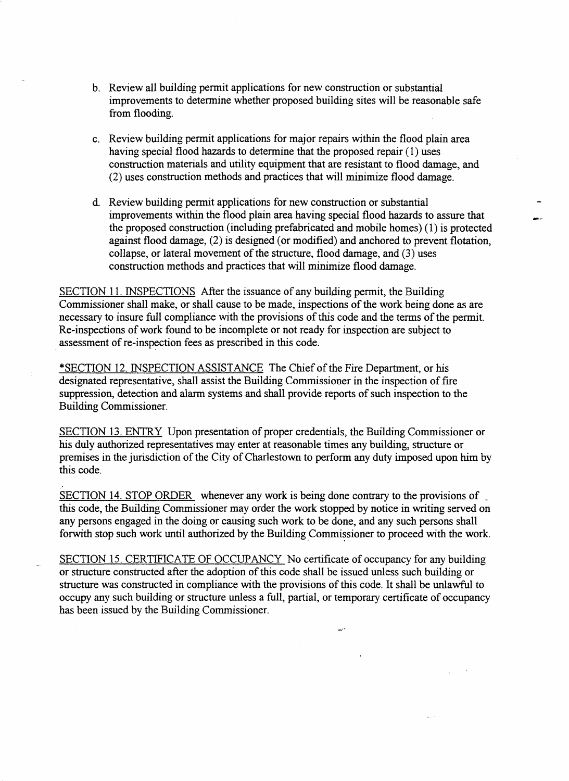- b. Review all building permit applications for new construction or substantial improvements to determine whether proposed building sites will be reasonable safe from flooding.
- c. Review building permit applications for major repairs within the flood plain area having special flood hazards to determine that the proposed repair (1) uses construction materials and utility equipment that are resistant to flood damage, and (2) uses construction methods and practices that will minimize flood damage.
- d. Review building permit applications for new construction or substantial improvements within the flood plain area having special flood hazards to assure that the proposed construction (including) prefabricated and mobile homes) (1) is protected against flood damage, (2) is designed (or modified) and anchored to prevent flotation, collapse, or lateral movement of the structure, flood damage, and (3) uses construction methods and practices that will minimize flood damage.

SECTION 11. INSPECTIONS After the issuance of any building permit, the Building Commissioner shall make, or shall cause to be made, inspections of the work being done **as** are necessary to insure full compliance with the provisions of this code and the terms of the permit. Re-inspections of work found to be incomplete or not ready for inspection are subject to assessment of re-inspection fees **as** prescribed in this code.

\*SECTION 12. INSPECTION ASSISTANCE The Chief of the Fire Department, or his designated representative, shall assist the Building Commissioner in the inspection of fire suppression, detection and alarm systems and shall provide reports of such inspection to the Building Commissioner.

SECTION 13. ENTRY Upon presentation of proper credentials, the Building Commissioner or his duly authorized representatives may enter at reasonable times any building, structure or premises in the jurisdiction of the City of Charlestown to perform any duty imposed upon him by this code.

SECTION 14. STOP ORDER whenever any work is being done contrary to the provisions of this code, the Building Commissioner may order the work stopped by notice in writing served on any **persons** engaged in the doing or causing such work to be done, and any such persons shall for with stop such work until authorized by the Building Commissioner to proceed with the work.

SECTION 15. CERTIFICATE OF OCCUPANCY No certificate of occupancy for any building or structure constructed after the adoption of this code shall be issued unless such building or structure **was** constructed in compliance with the provisions of this code. It shall be unlawful to occupy any such building or structure unless a full, partial, or temporary certificate of occupancy has been issued by the Building Commissioner.

لمبين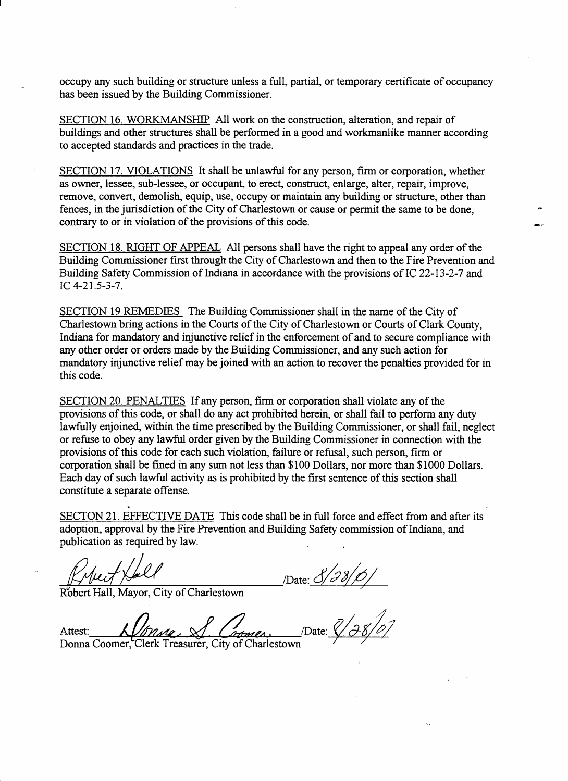occupy any such building or structure unless a full, partial, or temporary certificate of occupancy has been issued by the Building Commissioner.

SECTION 16. WORKMANSHIP All work on the construction, alteration, and repair of buildings and other structures shall be performed in a good and workmanlike manner according to accepted standards and practices in the trade.

SECTION 17. VIOLATIONS It shall be unlawful for any person, **firm** or corporation, whether as owner, lessee, sub-lessee, or occupant, to erect, construct, enlarge, alter, repair, improve, remove, convert, demolish, equip, use, occupy or maintain any building or structure, other than fences, in the jurisdiction of the City of Charlestown or cause or permit the same to be done, contrary to or in violation **of** the provisions of this code.

SECTION 18. RIGHT OF APPEAL All persons shall have the right to appeal any order of the Building Commissioner first through the City of Charlestown and then to the Fire Prevention and Building Safety Commission of Indiana in accordance with the provisions of IC 22-13-2-7 and IC  $4-21.5-3-7.$ 

SECTION 19 REMEDIES The Building Commissioner shall in the name of the City of Charlestown bring actions in the Courts of the City of Charlestown or Courts of Clark County, Indiana for mandatory and injunctive relief in the enforcement of and to secure compliance with any other order or orders made by the Building Commissioner, and any such action for mandatory injunctive relief may be joined with an action to recover the penalties provided for in this code.

SECTION 20. PENALTIES If any person, firm or corporation shall violate any of the provisions of this code, or shall do any act prohibited herein, or shall fail to perform any duty lawfully enjoined, within the time prescribed by the Building Commissioner, or shall fail, neglect or refuse to obey any lawful order given by the Building Commissioner in connection with the provisions of this code for each such violation, failure or refusal, such person, firm or corporation shall be fined in any sum not less than \$100 Dollars, nor more than \$1000 Dollars. Each day of such lawful activity as is prohibited by the first sentence of this section shall constitute a separate offense.

SECTON 21. EFFECTIVE DATE This code shall be in full force and effect from and after its adoption, approval by the Fire Prevention and Building Safety commission of Indiana, and publication as required by law.

I

/Date: *8/c* 

Robert Hall, Mayor, City of Charlestown

/Date: *8/28/01*  Attest: omer

Donna Coomer, Clerk Treasurer, City of Charlestown